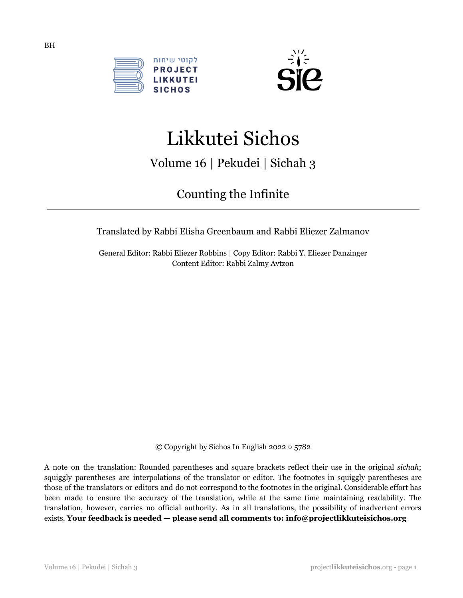



# Likkutei Sichos

Volume 16 | Pekudei | Sichah 3

# Counting the Infinite

Translated by Rabbi Elisha Greenbaum and Rabbi Eliezer Zalmanov

General Editor: Rabbi Eliezer Robbins | Copy Editor: Rabbi Y. Eliezer Danzinger Content Editor: Rabbi Zalmy Avtzon

© Copyright by Sichos In English 2022 ○ 5782

A note on the translation: Rounded parentheses and square brackets reflect their use in the original *sichah*; squiggly parentheses are interpolations of the translator or editor. The footnotes in squiggly parentheses are those of the translators or editors and do not correspond to the footnotes in the original. Considerable effort has been made to ensure the accuracy of the translation, while at the same time maintaining readability. The translation, however, carries no official authority. As in all translations, the possibility of inadvertent errors exists. **Your feedback is needed — please send all comments to: info@projectlikkuteisichos.org**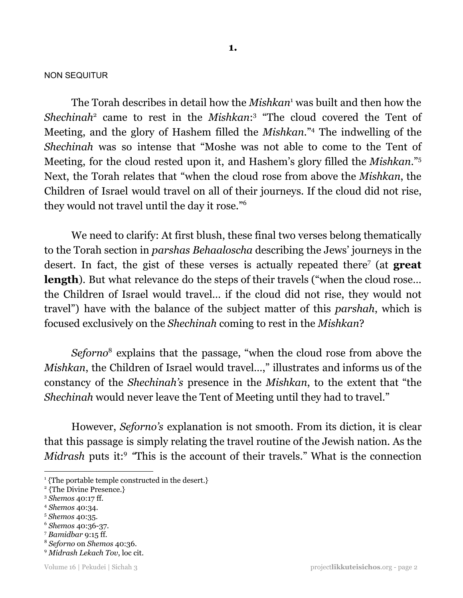#### NON SEQUITUR

The Torah describes in detail how the *Mishkan*<sup>1</sup> was built and then how the Shechinah<sup>2</sup> came to rest in the *Mishkan*:<sup>3</sup> "The cloud covered the Tent of Meeting, and the glory of Hashem filled the *Mishkan*."<sup>4</sup> The indwelling of the *Shechinah* was so intense that "Moshe was not able to come to the Tent of Meeting, for the cloud rested upon it, and Hashem's glory filled the *Mishkan*." 5 Next, the Torah relates that "when the cloud rose from above the *Mishkan*, the Children of Israel would travel on all of their journeys. If the cloud did not rise, they would not travel until the day it rose." 6

We need to clarify: At first blush, these final two verses belong thematically to the Torah section in *parshas Behaaloscha* describing the Jews' journeys in the desert. In fact, the gist of these verses is actually repeated there<sup>7</sup> (at great **length**). But what relevance do the steps of their travels ("when the cloud rose... the Children of Israel would travel… if the cloud did not rise, they would not travel") have with the balance of the subject matter of this *parshah*, which is focused exclusively on the *Shechinah* coming to rest in the *Mishkan*?

Seforno<sup>8</sup> explains that the passage, "when the cloud rose from above the *Mishkan*, the Children of Israel would travel...," illustrates and informs us of the constancy of the *Shechinah's* presence in the *Mishkan*, to the extent that "the *Shechinah* would never leave the Tent of Meeting until they had to travel."

However, *Seforno's* explanation is not smooth. From its diction, it is clear that this passage is simply relating the travel routine of the Jewish nation. As the *Midrash* puts it:<sup>9</sup> "This is the account of their travels." What is the connection

- <sup>4</sup> *Shemos* 40:34.
- <sup>5</sup> *Shemos* 40:35.
- <sup>6</sup> *Shemos* 40:36-37.
- <sup>7</sup> *Bamidbar* 9:15 ff.
- <sup>8</sup> *Seforno* on *Shemos* 40:36.
- <sup>9</sup> *Midrash Lekach Tov*, loc cit.

<sup>&</sup>lt;sup>1</sup>{The portable temple constructed in the desert.}

<sup>2</sup> {The Divine Presence.}

<sup>3</sup> *Shemos* 40:17 ff.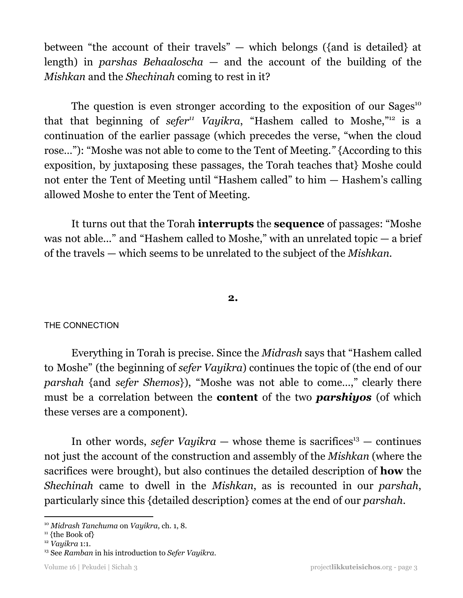between "the account of their travels" — which belongs ({and is detailed} at length) in *parshas Behaaloscha* — and the account of the building of the *Mishkan* and the *Shechinah* coming to rest in it?

The question is even stronger according to the exposition of our Sages<sup>10</sup> that that beginning of *sefer<sup>11</sup>* Vayikra, "Hashem called to Moshe,"<sup>12</sup> is a continuation of the earlier passage (which precedes the verse, "when the cloud rose…"): "Moshe was not able to come to the Tent of Meeting.*"* {According to this exposition, by juxtaposing these passages, the Torah teaches that} Moshe could not enter the Tent of Meeting until "Hashem called" to him — Hashem's calling allowed Moshe to enter the Tent of Meeting.

It turns out that the Torah **interrupts** the **sequence** of passages: "Moshe was not able..." and "Hashem called to Moshe," with an unrelated topic — a brief of the travels — which seems to be unrelated to the subject of the *Mishkan.*

# **2.**

# THE CONNECTION

Everything in Torah is precise. Since the *Midrash* says that "Hashem called to Moshe" (the beginning of *sefer Vayikra*) continues the topic of (the end of our *parshah* {and *sefer Shemos*}), "Moshe was not able to come…," clearly there must be a correlation between the **content** of the two *parshiyos* (of which these verses are a component).

In other words, *sefer Vayikra*  $-$  whose theme is sacrifices<sup>13</sup>  $-$  continues not just the account of the construction and assembly of the *Mishkan* (where the sacrifices were brought), but also continues the detailed description of **how** the *Shechinah* came to dwell in the *Mishkan*, as is recounted in our *parshah*, particularly since this {detailed description} comes at the end of our *parshah*.

<sup>10</sup> *Midrash Tanchuma* on *Vayikra*, ch. 1, 8.

 $11$  {the Book of}

<sup>12</sup> *Vayikra* 1:1.

<sup>13</sup> See *Ramban* in his introduction to *Sefer Vayikra*.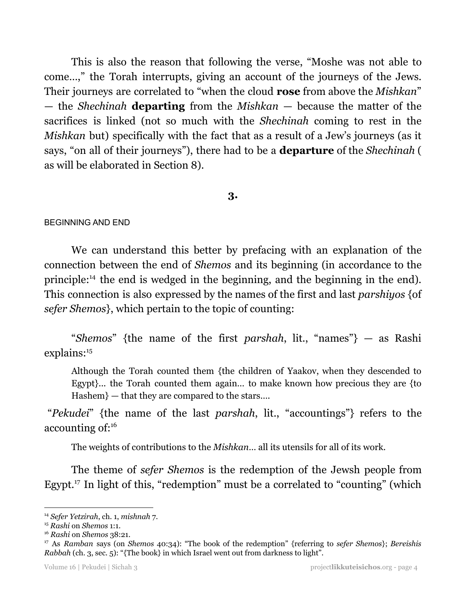This is also the reason that following the verse, "Moshe was not able to come…," the Torah interrupts, giving an account of the journeys of the Jews. Their journeys are correlated to "when the cloud **rose** from above the *Mishkan*" — the *Shechinah* **departing** from the *Mishkan* — because the matter of the sacrifices is linked (not so much with the *Shechinah* coming to rest in the *Mishkan* but) specifically with the fact that as a result of a Jew's journeys (as it says, "on all of their journeys"), there had to be a **departure** of the *Shechinah* ( as will be elaborated in Section 8).

# **3.**

#### BEGINNING AND END

We can understand this better by prefacing with an explanation of the connection between the end of *Shemos* and its beginning (in accordance to the principle:<sup>14</sup> the end is wedged in the beginning, and the beginning in the end). This connection is also expressed by the names of the first and last *parshiyos* {of *sefer Shemos*}, which pertain to the topic of counting:

"*Shemos*" {the name of the first *parshah*, lit., "names"} — as Rashi explains: 15

Although the Torah counted them {the children of Yaakov, when they descended to Egypt}... the Torah counted them again... to make known how precious they are {to Hashem} — that they are compared to the stars....

"*Pekudei*" {the name of the last *parshah*, lit., "accountings"} refers to the accounting of: 16

The weights of contributions to the *Mishkan*… all its utensils for all of its work.

The theme of *sefer Shemos* is the redemption of the Jewsh people from Egypt.<sup>17</sup> In light of this, "redemption" must be a correlated to "counting" (which

<sup>14</sup> *Sefer Yetzirah*, ch. 1, *mishnah* 7.

<sup>15</sup> *Rashi* on *Shemos* 1:1.

<sup>16</sup> *Rashi* on *Shemos* 38:21.

<sup>17</sup> As *Ramban* says (on *Shemos* 40:34): "The book of the redemption" {referring to *sefer Shemos*}; *Bereishis Rabbah* (ch. 3, sec. 5): "{The book} in which Israel went out from darkness to light".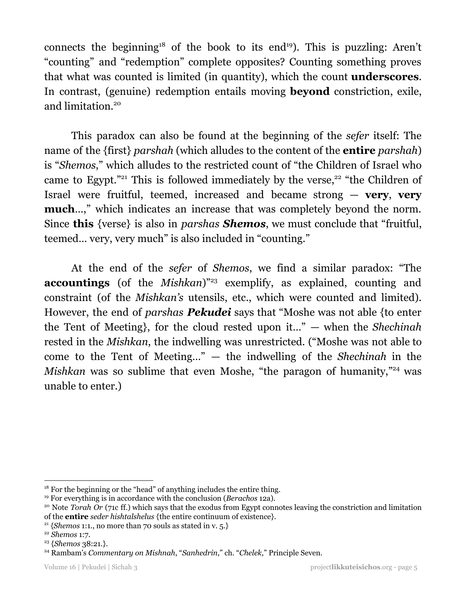connects the beginning<sup>18</sup> of the book to its end<sup>19</sup>). This is puzzling: Aren't "counting" and "redemption" complete opposites? Counting something proves that what was counted is limited (in quantity), which the count **underscores**. In contrast, (genuine) redemption entails moving **beyond** constriction, exile, and limitation. 20

This paradox can also be found at the beginning of the *sefer* itself: The name of the {first} *parshah* (which alludes to the content of the **entire** *parshah*) is "*Shemos*," which alludes to the restricted count of "the Children of Israel who came to Egypt."<sup>21</sup> This is followed immediately by the verse,<sup>22</sup> "the Children of Israel were fruitful, teemed, increased and became strong — **very**, **very much**…," which indicates an increase that was completely beyond the norm. Since **this** {verse} is also in *parshas Shemos*, we must conclude that "fruitful, teemed… very, very much" is also included in "counting."

At the end of the *sefer* of *Shemos*, we find a similar paradox: "The accountings (of the *Mishkan*)"<sup>23</sup> exemplify, as explained, counting and constraint (of the *Mishkan's* utensils, etc., which were counted and limited). However, the end of *parshas Pekudei* says that "Moshe was not able {to enter the Tent of Meeting}, for the cloud rested upon it…" — when the *Shechinah* rested in the *Mishkan*, the indwelling was unrestricted. ("Moshe was not able to come to the Tent of Meeting…" — the indwelling of the *Shechinah* in the *Mishkan* was so sublime that even Moshe, "the paragon of humanity,"<sup>24</sup> was unable to enter.)

<sup>&</sup>lt;sup>18</sup> For the beginning or the "head" of anything includes the entire thing.

<sup>19</sup> For everything is in accordance with the conclusion (*Berachos* 12a).

<sup>&</sup>lt;sup>20</sup> Note *Torah Or* (71c ff.) which says that the exodus from Egypt connotes leaving the constriction and limitation of the **entire** *seder hishtalshelus* {the entire continuum of existence}.

<sup>&</sup>lt;sup>21</sup> {*Shemos* 1:1., no more than 70 souls as stated in v. 5.}

<sup>22</sup> *Shemos* 1:7.

<sup>23</sup> {*Shemos* 38:21.}.

<sup>24</sup> Rambam's *Commentary on Mishnah*, "*Sanhedrin*," ch. "*Chelek*," Principle Seven.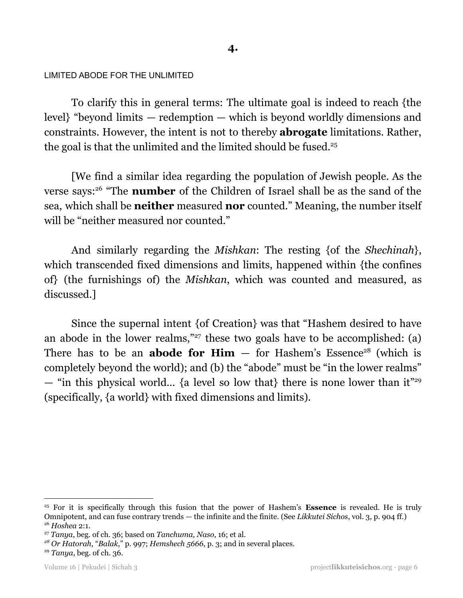#### LIMITED ABODE FOR THE UNLIMITED

To clarify this in general terms: The ultimate goal is indeed to reach {the level} "beyond limits — redemption — which is beyond worldly dimensions and constraints. However, the intent is not to thereby **abrogate** limitations. Rather, the goal is that the unlimited and the limited should be fused. 25

[We find a similar idea regarding the population of Jewish people. As the verse says:<sup>26</sup> "The **number** of the Children of Israel shall be as the sand of the sea, which shall be **neither** measured **nor** counted." Meaning, the number itself will be "neither measured nor counted."

And similarly regarding the *Mishkan*: The resting {of the *Shechinah*}, which transcended fixed dimensions and limits, happened within {the confines of} (the furnishings of) the *Mishkan*, which was counted and measured, as discussed.]

Since the supernal intent {of Creation} was that "Hashem desired to have an abode in the lower realms," $27$  these two goals have to be accomplished: (a) There has to be an **abode for Him**  $-$  for Hashem's Essence<sup>28</sup> (which is completely beyond the world); and (b) the "abode" must be "in the lower realms" — "in this physical world… {a level so low that} there is none lower than it" 29 (specifically, {a world} with fixed dimensions and limits).

<sup>26</sup> *Hoshea* 2:1. <sup>25</sup> For it is specifically through this fusion that the power of Hashem's **Essence** is revealed. He is truly Omnipotent, and can fuse contrary trends — the infinite and the finite. (See *Likkutei Sichos*, vol. 3, p. 904 ff.)

<sup>27</sup> *Tanya*, beg. of ch. 36; based on *Tanchuma, Naso*, 16; et al.

*<sup>28</sup> Or Hatorah*, "*Balak*," p. 997; *Hemshech 5666*, p. 3; and in several places.

<sup>29</sup> *Tanya*, beg. of ch. 36.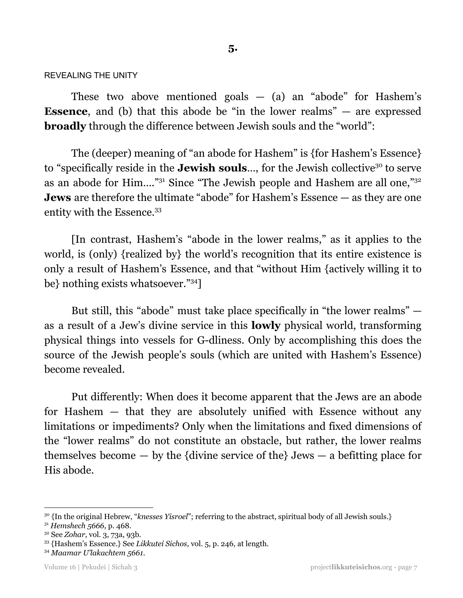#### REVEALING THE UNITY

These two above mentioned goals  $-$  (a) an "abode" for Hashem's **Essence**, and (b) that this abode be "in the lower realms" — are expressed **broadly** through the difference between Jewish souls and the "world":

The (deeper) meaning of "an abode for Hashem" is {for Hashem's Essence} to "specifically reside in the **Jewish souls**..., for the Jewish collective<sup>30</sup> to serve as an abode for Him...."<sup>31</sup> Since "The Jewish people and Hashem are all one,"<sup>32</sup> **Jews** are therefore the ultimate "abode" for Hashem's Essence — as they are one entity with the Essence. 33

[In contrast, Hashem's "abode in the lower realms," as it applies to the world, is (only) {realized by} the world's recognition that its entire existence is only a result of Hashem's Essence, and that "without Him {actively willing it to be} nothing exists whatsoever."34]

But still, this "abode" must take place specifically in "the lower realms" as a result of a Jew's divine service in this **lowly** physical world, transforming physical things into vessels for G-dliness. Only by accomplishing this does the source of the Jewish people's souls (which are united with Hashem's Essence) become revealed.

Put differently: When does it become apparent that the Jews are an abode for Hashem — that they are absolutely unified with Essence without any limitations or impediments? Only when the limitations and fixed dimensions of the "lower realms" do not constitute an obstacle, but rather, the lower realms themselves become  $-$  by the {divine service of the} Jews  $-$  a befitting place for His abode.

<sup>30</sup> {In the original Hebrew, "*knesses Yisroel*"; referring to the abstract, spiritual body of all Jewish souls.}

<sup>31</sup> *Hemshech 5666*, p. 468.

<sup>32</sup> See *Zohar*, vol. 3, 73a, 93b.

<sup>33</sup> {Hashem's Essence.} See *Likkutei Sichos*, vol. 5, p. 246, at length.

<sup>34</sup> *Maamar U'lakachtem 5661*.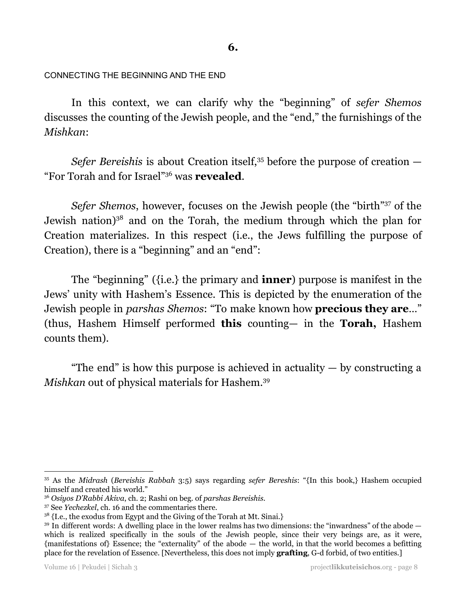CONNECTING THE BEGINNING AND THE END

In this context, we can clarify why the "beginning" of *sefer Shemos* discusses the counting of the Jewish people, and the "end," the furnishings of the *Mishkan*:

*Sefer Bereishis* is about Creation itself, <sup>35</sup> before the purpose of creation — "For Torah and for Israel"<sup>36</sup> was **revealed**.

Sefer Shemos, however, focuses on the Jewish people (the "birth"<sup>37</sup> of the Jewish nation)<sup>38</sup> and on the Torah, the medium through which the plan for Creation materializes. In this respect (i.e., the Jews fulfilling the purpose of Creation), there is a "beginning" and an "end":

The "beginning" ({i.e.} the primary and **inner**) purpose is manifest in the Jews' unity with Hashem's Essence. This is depicted by the enumeration of the Jewish people in *parshas Shemos*: "To make known how **precious they are**…" (thus, Hashem Himself performed **this** counting— in the **Torah,** Hashem counts them).

"The end" is how this purpose is achieved in actuality  $-$  by constructing a *Mishkan* out of physical materials for Hashem. 39

<sup>35</sup> As the *Midrash* (*Bereishis Rabbah* 3:5) says regarding *sefer Bereshis*: "{In this book,} Hashem occupied himself and created his world."

<sup>36</sup> *Osiyos D'Rabbi Akiva*, ch. 2; Rashi on beg. of *parshas Bereishis*.

<sup>37</sup> See *Yechezkel*, ch. 16 and the commentaries there.

<sup>&</sup>lt;sup>38</sup> {I.e., the exodus from Egypt and the Giving of the Torah at Mt. Sinai.}

<sup>&</sup>lt;sup>39</sup> In different words: A dwelling place in the lower realms has two dimensions: the "inwardness" of the abode which is realized specifically in the souls of the Jewish people, since their very beings are, as it were, {manifestations of} Essence; the "externality" of the abode — the world, in that the world becomes a befitting place for the revelation of Essence. [Nevertheless, this does not imply **grafting**, G-d forbid, of two entities.]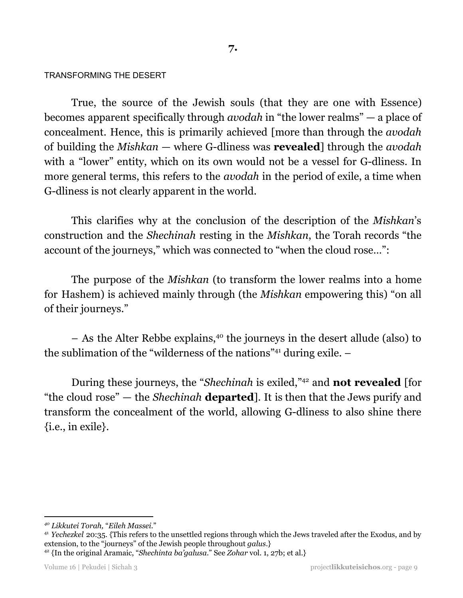#### TRANSFORMING THE DESERT

True, the source of the Jewish souls (that they are one with Essence) becomes apparent specifically through *avodah* in "the lower realms" — a place of concealment. Hence, this is primarily achieved [more than through the *avodah* of building the *Mishkan* — where G-dliness was **revealed**] through the *avodah* with a "lower" entity, which on its own would not be a vessel for G-dliness. In more general terms, this refers to the *avodah* in the period of exile, a time when G-dliness is not clearly apparent in the world.

This clarifies why at the conclusion of the description of the *Mishkan*'s construction and the *Shechinah* resting in the *Mishkan*, the Torah records "the account of the journeys," which was connected to "when the cloud rose…":

The purpose of the *Mishkan* (to transform the lower realms into a home for Hashem) is achieved mainly through (the *Mishkan* empowering this) "on all of their journeys."

 $-$  As the Alter Rebbe explains,<sup>40</sup> the journeys in the desert allude (also) to the sublimation of the "wilderness of the nations"<sup>41</sup> during exile.  $-$ 

During these journeys, the "Shechinah is exiled,"<sup>42</sup> and **not revealed** [for "the cloud rose" — the *Shechinah* **departed**]. It is then that the Jews purify and transform the concealment of the world, allowing G-dliness to also shine there {i.e., in exile}.

<sup>41</sup> *Yechezkel* 20:35. {This refers to the unsettled regions through which the Jews traveled after the Exodus, and by extension, to the "journeys" of the Jewish people throughout *galus*.}

*<sup>40</sup> Likkutei Torah,* "*Eileh Massei.*"

<sup>42</sup> {In the original Aramaic, "*Shechinta ba'galusa*." See *Zohar* vol. 1, 27b; et al.}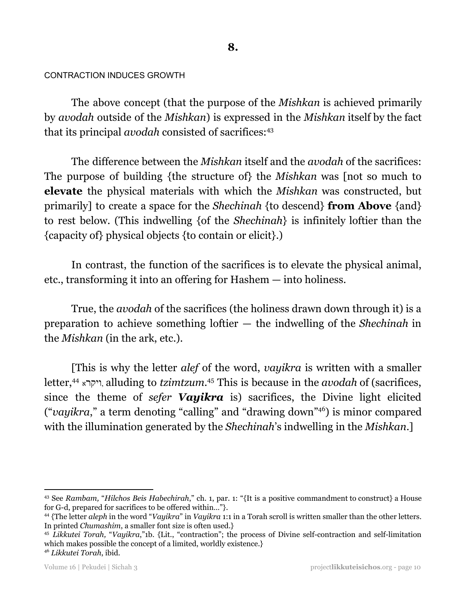#### CONTRACTION INDUCES GROWTH

The above concept (that the purpose of the *Mishkan* is achieved primarily by *avodah* outside of the *Mishkan*) is expressed in the *Mishkan* itself by the fact that its principal *avodah* consisted of sacrifices: 43

The difference between the *Mishkan* itself and the *avodah* of the sacrifices: The purpose of building {the structure of} the *Mishkan* was [not so much to **elevate** the physical materials with which the *Mishkan* was constructed, but primarily] to create a space for the *Shechinah* {to descend} **from Above** {and} to rest below. (This indwelling {of the *Shechinah*} is infinitely loftier than the {capacity of} physical objects {to contain or elicit}.)

In contrast, the function of the sacrifices is to elevate the physical animal, etc., transforming it into an offering for Hashem — into holiness.

True, the *avodah* of the sacrifices (the holiness drawn down through it) is a preparation to achieve something loftier — the indwelling of the *Shechinah* in the *Mishkan* (in the ark, etc.).

[This is why the letter *alef* of the word, *vayikra* is written with a smaller letter,<sup>44</sup> ויקרא, alluding to *tzimtzum*.<sup>45</sup> This is because in the *avodah* of (sacrifices, since the theme of *sefer Vayikra* is) sacrifices, the Divine light elicited ("vayikra," a term denoting "calling" and "drawing down"<sup>46</sup>) is minor compared with the illumination generated by the *Shechinah*'s indwelling in the *Mishkan*.]

```
46 Likkutei Torah, ibid.
```
<sup>43</sup> See *Rambam,* "*Hilchos Beis Habechirah*," ch. 1, par. 1: "{It is a positive commandment to construct} a House for G-d, prepared for sacrifices to be offered within…"}.

<sup>44</sup> {The letter *aleph* in the word "*Vayikra*" in *Vayikra* 1:1 in a Torah scroll is written smaller than the other letters. In printed *Chumashim*, a smaller font size is often used.}

<sup>45</sup> *Likkutei Torah,* "*Vayikra*,"1b. {Lit., "contraction"; the process of Divine self-contraction and self-limitation which makes possible the concept of a limited, worldly existence.}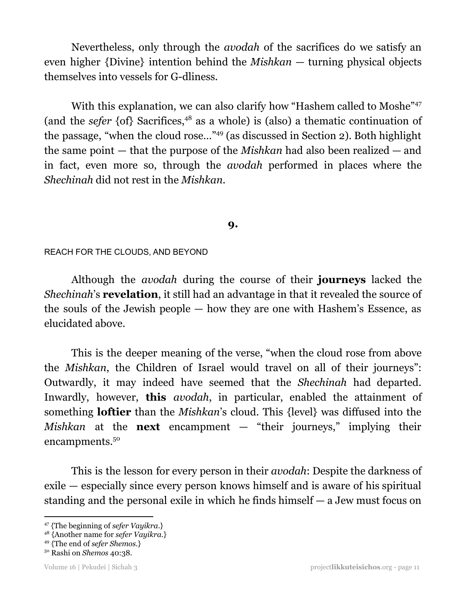Nevertheless, only through the *avodah* of the sacrifices do we satisfy an even higher {Divine} intention behind the *Mishkan* — turning physical objects themselves into vessels for G-dliness.

With this explanation, we can also clarify how "Hashem called to Moshe"<sup>47</sup> (and the *sefer*  $\{of\}$  Sacrifices,<sup>48</sup> as a whole) is (also) a thematic continuation of the passage, "when the cloud rose..."<sup>49</sup> (as discussed in Section 2). Both highlight the same point — that the purpose of the *Mishkan* had also been realized — and in fact, even more so, through the *avodah* performed in places where the *Shechinah* did not rest in the *Mishkan*.

# **9.**

# REACH FOR THE CLOUDS, AND BEYOND

Although the *avodah* during the course of their **journeys** lacked the *Shechinah*'s **revelation**, it still had an advantage in that it revealed the source of the souls of the Jewish people — how they are one with Hashem's Essence, as elucidated above.

This is the deeper meaning of the verse, "when the cloud rose from above the *Mishkan*, the Children of Israel would travel on all of their journeys": Outwardly, it may indeed have seemed that the *Shechinah* had departed. Inwardly, however, **this** *avodah*, in particular, enabled the attainment of something **loftier** than the *Mishkan*'s cloud. This {level} was diffused into the *Mishkan* at the **next** encampment — "their journeys," implying their encampments. 50

This is the lesson for every person in their *avodah*: Despite the darkness of exile — especially since every person knows himself and is aware of his spiritual standing and the personal exile in which he finds himself — a Jew must focus on

<sup>47</sup> {The beginning of *sefer Vayikra*.}

<sup>48</sup> {Another name for *sefer Vayikra*.}

<sup>49</sup> {The end of *sefer Shemos*.}

<sup>50</sup> Rashi on *Shemos* 40:38.